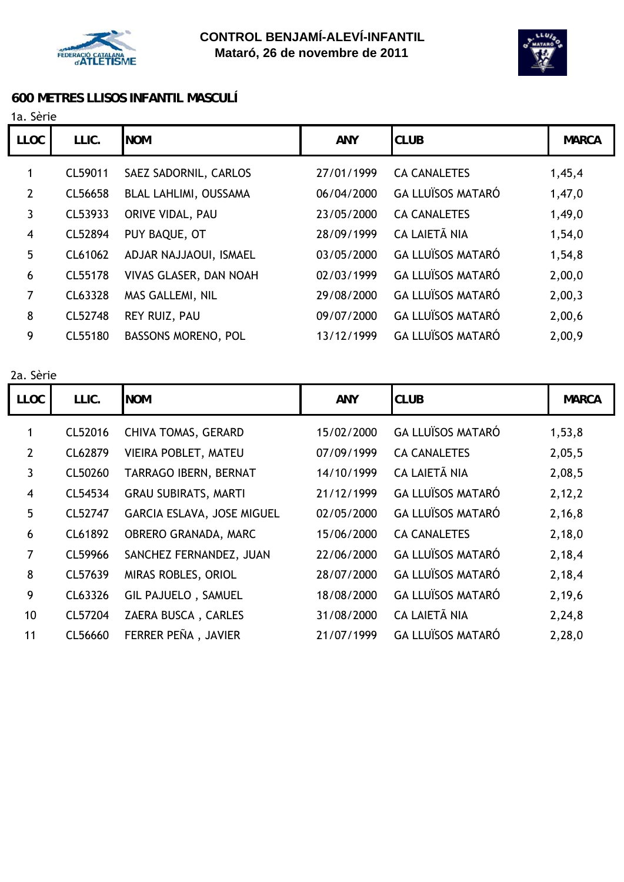



## **600 METRES LLISOS INFANTIL MASCULÍ**

1a. Sèrie

| LLIC.   | <b>NOM</b>                 | <b>ANY</b> | <b>CLUB</b>              | <b>MARCA</b> |
|---------|----------------------------|------------|--------------------------|--------------|
| CL59011 | SAEZ SADORNIL, CARLOS      | 27/01/1999 | <b>CA CANALETES</b>      | 1,45,4       |
| CL56658 | BLAL LAHLIMI, OUSSAMA      | 06/04/2000 | <b>GA LLUÏSOS MATARÓ</b> | 1,47,0       |
| CL53933 | ORIVE VIDAL, PAU           | 23/05/2000 | <b>CA CANALETES</b>      | 1,49,0       |
| CL52894 | PUY BAQUE, OT              | 28/09/1999 | <b>CA LAIETÃ NIA</b>     | 1,54,0       |
| CL61062 | ADJAR NAJJAOUI, ISMAEL     | 03/05/2000 | <b>GA LLUÏSOS MATARÓ</b> | 1,54,8       |
| CL55178 | VIVAS GLASER, DAN NOAH     | 02/03/1999 | <b>GA LLUÏSOS MATARÓ</b> | 2,00,0       |
| CL63328 | MAS GALLEMI, NIL           | 29/08/2000 | <b>GA LLUÏSOS MATARÓ</b> | 2,00,3       |
| CL52748 | REY RUIZ, PAU              | 09/07/2000 | <b>GA LLUÏSOS MATARÓ</b> | 2,00,6       |
| CL55180 | <b>BASSONS MORENO, POL</b> | 13/12/1999 | <b>GA LLUÏSOS MATARÓ</b> | 2,00,9       |
|         |                            |            |                          |              |

2a. Sèrie

| <b>LLOC</b>    | LLIC.   | <b>NOM</b>                  | <b>ANY</b> | <b>CLUB</b>              | <b>MARCA</b> |
|----------------|---------|-----------------------------|------------|--------------------------|--------------|
| 1              | CL52016 | <b>CHIVA TOMAS, GERARD</b>  | 15/02/2000 | <b>GA LLUÏSOS MATARÓ</b> | 1,53,8       |
| 2              | CL62879 | VIEIRA POBLET, MATEU        | 07/09/1999 | <b>CA CANALETES</b>      | 2,05,5       |
| 3              | CL50260 | TARRAGO IBERN, BERNAT       | 14/10/1999 | CA LAIETÃ NIA            | 2,08,5       |
| $\overline{4}$ | CL54534 | <b>GRAU SUBIRATS, MARTI</b> | 21/12/1999 | <b>GA LLUÏSOS MATARÓ</b> | 2,12,2       |
| 5              | CL52747 | GARCIA ESLAVA, JOSE MIGUEL  | 02/05/2000 | <b>GA LLUÏSOS MATARÓ</b> | 2,16,8       |
| 6              | CL61892 | OBRERO GRANADA, MARC        | 15/06/2000 | <b>CA CANALETES</b>      | 2,18,0       |
| 7              | CL59966 | SANCHEZ FERNANDEZ, JUAN     | 22/06/2000 | <b>GA LLUÏSOS MATARÓ</b> | 2,18,4       |
| 8              | CL57639 | MIRAS ROBLES, ORIOL         | 28/07/2000 | <b>GA LLUÏSOS MATARÓ</b> | 2,18,4       |
| 9              | CL63326 | <b>GIL PAJUELO, SAMUEL</b>  | 18/08/2000 | <b>GA LLUÏSOS MATARÓ</b> | 2,19,6       |
| 10             | CL57204 | ZAERA BUSCA, CARLES         | 31/08/2000 | CA LAIETÃ NIA            | 2,24,8       |
| 11             | CL56660 | FERRER PEÑA, JAVIER         | 21/07/1999 | <b>GA LLUÏSOS MATARÓ</b> | 2,28,0       |
|                |         |                             |            |                          |              |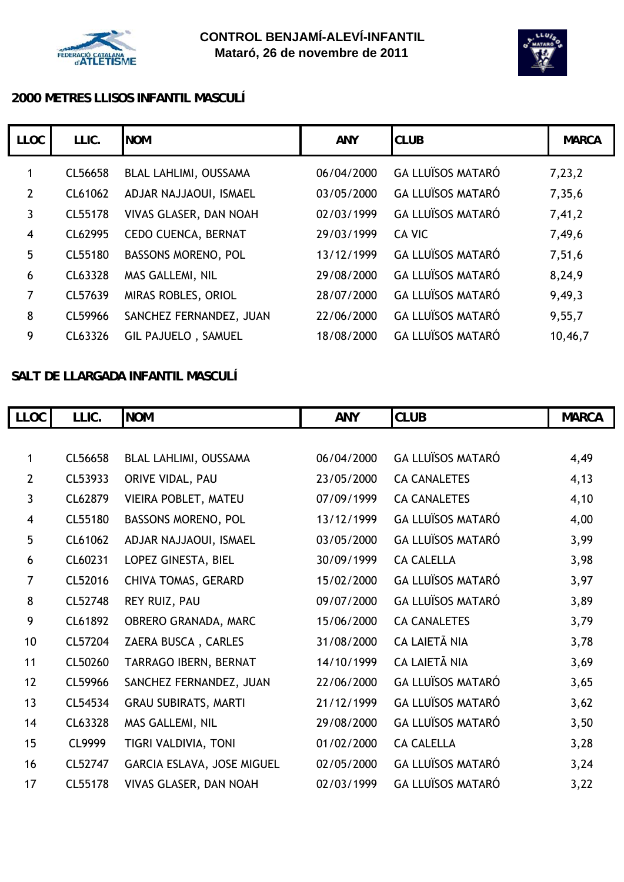



## **2000 METRES LLISOS INFANTIL MASCULÍ**

| <b>LLOC</b>             | LLIC.   | <b>NOM</b>                 | <b>ANY</b> | <b>CLUB</b>              | <b>MARCA</b> |
|-------------------------|---------|----------------------------|------------|--------------------------|--------------|
| 1                       | CL56658 | BLAL LAHLIMI, OUSSAMA      | 06/04/2000 | <b>GA LLUÏSOS MATARÓ</b> | 7,23,2       |
| $\overline{2}$          | CL61062 | ADJAR NAJJAOUI, ISMAEL     | 03/05/2000 | <b>GA LLUÏSOS MATARÓ</b> | 7,35,6       |
| 3                       | CL55178 | VIVAS GLASER, DAN NOAH     | 02/03/1999 | <b>GA LLUÏSOS MATARÓ</b> | 7,41,2       |
| $\overline{\mathbf{4}}$ | CL62995 | <b>CEDO CUENCA, BERNAT</b> | 29/03/1999 | CA VIC                   | 7,49,6       |
| $5\phantom{.}$          | CL55180 | <b>BASSONS MORENO, POL</b> | 13/12/1999 | <b>GA LLUÏSOS MATARÓ</b> | 7,51,6       |
| 6                       | CL63328 | MAS GALLEMI, NIL           | 29/08/2000 | <b>GA LLUÏSOS MATARÓ</b> | 8,24,9       |
| $\overline{7}$          | CL57639 | MIRAS ROBLES, ORIOL        | 28/07/2000 | <b>GA LLUÏSOS MATARÓ</b> | 9,49,3       |
| 8                       | CL59966 | SANCHEZ FERNANDEZ, JUAN    | 22/06/2000 | <b>GA LLUÏSOS MATARÓ</b> | 9,55,7       |
| 9                       | CL63326 | <b>GIL PAJUELO, SAMUEL</b> | 18/08/2000 | <b>GA LLUÏSOS MATARÓ</b> | 10,46,7      |

## **SALT DE LLARGADA INFANTIL MASCULÍ**

| <b>LLOC</b>             | LLIC.   | <b>NOM</b>                  | <b>ANY</b> | <b>CLUB</b>              | <b>MARCA</b> |
|-------------------------|---------|-----------------------------|------------|--------------------------|--------------|
|                         |         |                             |            |                          |              |
| 1                       | CL56658 | BLAL LAHLIMI, OUSSAMA       | 06/04/2000 | <b>GA LLUÏSOS MATARÓ</b> | 4,49         |
| $\overline{2}$          | CL53933 | ORIVE VIDAL, PAU            | 23/05/2000 | <b>CA CANALETES</b>      | 4,13         |
| 3                       | CL62879 | VIEIRA POBLET, MATEU        | 07/09/1999 | <b>CA CANALETES</b>      | 4,10         |
| $\overline{\mathbf{4}}$ | CL55180 | BASSONS MORENO, POL         | 13/12/1999 | <b>GA LLUÏSOS MATARÓ</b> | 4,00         |
| 5                       | CL61062 | ADJAR NAJJAOUI, ISMAEL      | 03/05/2000 | <b>GA LLUÏSOS MATARÓ</b> | 3,99         |
| 6                       | CL60231 | LOPEZ GINESTA, BIEL         | 30/09/1999 | <b>CA CALELLA</b>        | 3,98         |
| 7                       | CL52016 | CHIVA TOMAS, GERARD         | 15/02/2000 | <b>GA LLUÏSOS MATARÓ</b> | 3,97         |
| $\bf 8$                 | CL52748 | REY RUIZ, PAU               | 09/07/2000 | <b>GA LLUÏSOS MATARÓ</b> | 3,89         |
| 9                       | CL61892 | OBRERO GRANADA, MARC        | 15/06/2000 | <b>CA CANALETES</b>      | 3,79         |
| 10                      | CL57204 | ZAERA BUSCA, CARLES         | 31/08/2000 | CA LAIETÃ NIA            | 3,78         |
| 11                      | CL50260 | TARRAGO IBERN, BERNAT       | 14/10/1999 | CA LAIETÃ NIA            | 3,69         |
| 12                      | CL59966 | SANCHEZ FERNANDEZ, JUAN     | 22/06/2000 | <b>GA LLUÏSOS MATARÓ</b> | 3,65         |
| 13                      | CL54534 | <b>GRAU SUBIRATS, MARTI</b> | 21/12/1999 | <b>GA LLUÏSOS MATARÓ</b> | 3,62         |
| 14                      | CL63328 | MAS GALLEMI, NIL            | 29/08/2000 | <b>GA LLUÏSOS MATARÓ</b> | 3,50         |
| 15                      | CL9999  | TIGRI VALDIVIA, TONI        | 01/02/2000 | <b>CA CALELLA</b>        | 3,28         |
| 16                      | CL52747 | GARCIA ESLAVA, JOSE MIGUEL  | 02/05/2000 | <b>GA LLUÏSOS MATARÓ</b> | 3,24         |
| 17                      | CL55178 | VIVAS GLASER, DAN NOAH      | 02/03/1999 | <b>GA LLUÏSOS MATARÓ</b> | 3,22         |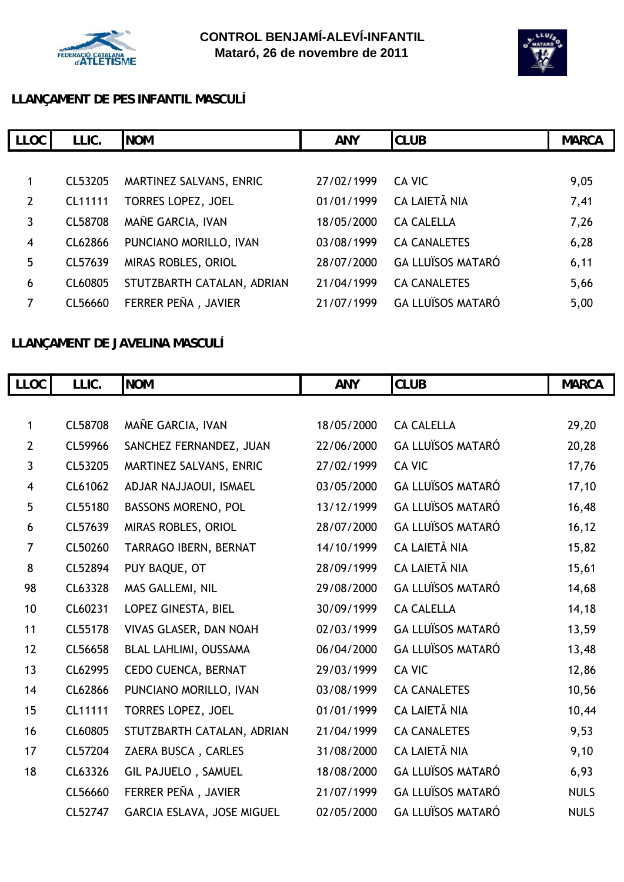



## **LLANÇAMENT DE PES INFANTIL MASCULÍ**

| LLIC.   | <b>NOM</b>                 | <b>ANY</b> | <b>CLUB</b>              | <b>MARCA</b> |
|---------|----------------------------|------------|--------------------------|--------------|
|         |                            |            |                          |              |
| CL53205 | MARTINEZ SALVANS, ENRIC    | 27/02/1999 | CA VIC                   | 9,05         |
| CL11111 | TORRES LOPEZ, JOEL         | 01/01/1999 | CA LAIETÃ NIA            | 7,41         |
| CL58708 | MAÑE GARCIA, IVAN          | 18/05/2000 | <b>CA CALELLA</b>        | 7,26         |
| CL62866 | PUNCIANO MORILLO, IVAN     | 03/08/1999 | <b>CA CANALETES</b>      | 6,28         |
| CL57639 | MIRAS ROBLES, ORIOL        | 28/07/2000 | <b>GA LLUÏSOS MATARÓ</b> | 6,11         |
| CL60805 | STUTZBARTH CATALAN, ADRIAN | 21/04/1999 | <b>CA CANALETES</b>      | 5,66         |
| CL56660 | FERRER PEÑA, JAVIER        | 21/07/1999 | <b>GA LLUÏSOS MATARÓ</b> | 5,00         |
|         |                            |            |                          |              |

# **LLANÇAMENT DE JAVELINA MASCULÍ**

| LLOC           | LLIC.   | <b>NOM</b>                   | <b>ANY</b> | <b>CLUB</b>              | <b>MARCA</b> |
|----------------|---------|------------------------------|------------|--------------------------|--------------|
|                |         |                              |            |                          |              |
| $\mathbf{1}$   | CL58708 | MAÑE GARCIA, IVAN            | 18/05/2000 | <b>CA CALELLA</b>        | 29,20        |
| $\overline{2}$ | CL59966 | SANCHEZ FERNANDEZ, JUAN      | 22/06/2000 | <b>GA LLUÏSOS MATARÓ</b> | 20,28        |
| $\mathbf{3}$   | CL53205 | MARTINEZ SALVANS, ENRIC      | 27/02/1999 | <b>CA VIC</b>            | 17,76        |
| 4              | CL61062 | ADJAR NAJJAOUI, ISMAEL       | 03/05/2000 | <b>GA LLUÏSOS MATARÓ</b> | 17,10        |
| 5              | CL55180 | <b>BASSONS MORENO, POL</b>   | 13/12/1999 | <b>GA LLUÏSOS MATARÓ</b> | 16,48        |
| 6              | CL57639 | MIRAS ROBLES, ORIOL          | 28/07/2000 | <b>GA LLUÏSOS MATARÓ</b> | 16, 12       |
| $\overline{7}$ | CL50260 | TARRAGO IBERN, BERNAT        | 14/10/1999 | <b>CA LAIETÃ NIA</b>     | 15,82        |
| 8              | CL52894 | PUY BAQUE, OT                | 28/09/1999 | <b>CA LAIETÃ NIA</b>     | 15,61        |
| 98             | CL63328 | MAS GALLEMI, NIL             | 29/08/2000 | <b>GA LLUÏSOS MATARÓ</b> | 14,68        |
| 10             | CL60231 | LOPEZ GINESTA, BIEL          | 30/09/1999 | <b>CA CALELLA</b>        | 14, 18       |
| 11             | CL55178 | VIVAS GLASER, DAN NOAH       | 02/03/1999 | <b>GA LLUÏSOS MATARÓ</b> | 13,59        |
| 12             | CL56658 | <b>BLAL LAHLIMI, OUSSAMA</b> | 06/04/2000 | <b>GA LLUÏSOS MATARÓ</b> | 13,48        |
| 13             | CL62995 | CEDO CUENCA, BERNAT          | 29/03/1999 | <b>CA VIC</b>            | 12,86        |
| 14             | CL62866 | PUNCIANO MORILLO, IVAN       | 03/08/1999 | <b>CA CANALETES</b>      | 10,56        |
| 15             | CL11111 | TORRES LOPEZ, JOEL           | 01/01/1999 | <b>CA LAIETÃ NIA</b>     | 10,44        |
| 16             | CL60805 | STUTZBARTH CATALAN, ADRIAN   | 21/04/1999 | <b>CA CANALETES</b>      | 9,53         |
| 17             | CL57204 | ZAERA BUSCA, CARLES          | 31/08/2000 | <b>CA LAIETÃ NIA</b>     | 9,10         |
| 18             | CL63326 | <b>GIL PAJUELO, SAMUEL</b>   | 18/08/2000 | <b>GA LLUÏSOS MATARÓ</b> | 6,93         |
|                | CL56660 | FERRER PEÑA, JAVIER          | 21/07/1999 | <b>GA LLUÏSOS MATARÓ</b> | <b>NULS</b>  |
|                | CL52747 | GARCIA ESLAVA, JOSE MIGUEL   | 02/05/2000 | <b>GA LLUÏSOS MATARÓ</b> | <b>NULS</b>  |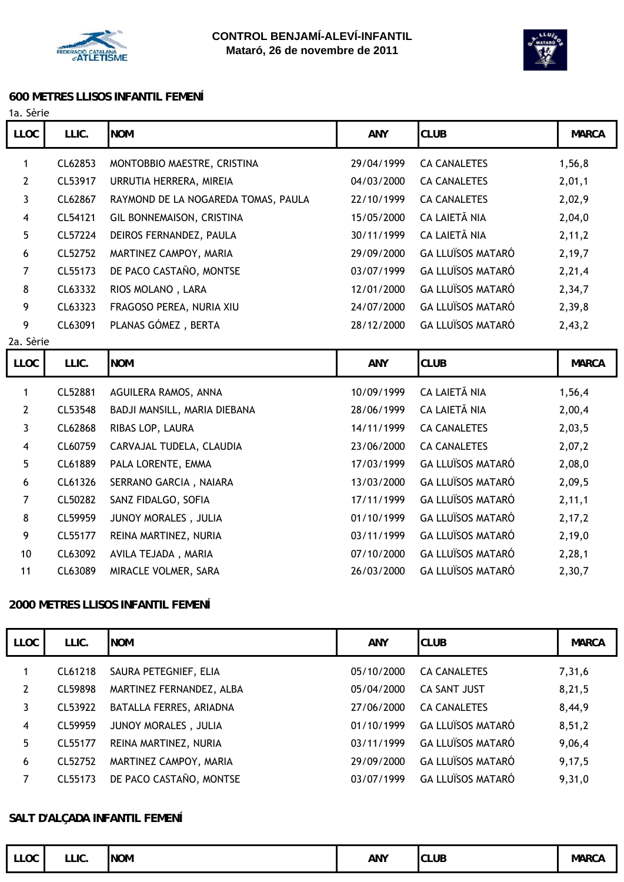



#### **600 METRES LLISOS INFANTIL FEMENÍ**

| 1a. Sèrie |  |
|-----------|--|
|           |  |

| LLOC           | LLIC.   | <b>NOM</b>                          | <b>ANY</b> | <b>CLUB</b>              | <b>MARCA</b> |
|----------------|---------|-------------------------------------|------------|--------------------------|--------------|
| 1              | CL62853 | MONTOBBIO MAESTRE, CRISTINA         | 29/04/1999 | <b>CA CANALETES</b>      | 1,56,8       |
| $\overline{2}$ | CL53917 | URRUTIA HERRERA, MIREIA             | 04/03/2000 | <b>CA CANALETES</b>      | 2,01,1       |
| 3              | CL62867 | RAYMOND DE LA NOGAREDA TOMAS, PAULA | 22/10/1999 | <b>CA CANALETES</b>      | 2,02,9       |
| 4              | CL54121 | GIL BONNEMAISON, CRISTINA           | 15/05/2000 | CA LAIETÃ NIA            | 2,04,0       |
| 5              | CL57224 | DEIROS FERNANDEZ, PAULA             | 30/11/1999 | CA LAIETÃ NIA            | 2, 11, 2     |
| 6              | CL52752 | MARTINEZ CAMPOY, MARIA              | 29/09/2000 | <b>GA LLUÏSOS MATARÓ</b> | 2,19,7       |
| 7              | CL55173 | DE PACO CASTAÑO, MONTSE             | 03/07/1999 | <b>GA LLUÏSOS MATARÓ</b> | 2,21,4       |
| 8              | CL63332 | RIOS MOLANO, LARA                   | 12/01/2000 | <b>GA LLUÏSOS MATARÓ</b> | 2,34,7       |
| 9              | CL63323 | FRAGOSO PEREA, NURIA XIU            | 24/07/2000 | <b>GA LLUÏSOS MATARÓ</b> | 2,39,8       |
| 9              | CL63091 | PLANAS GÓMEZ, BERTA                 | 28/12/2000 | <b>GA LLUÏSOS MATARÓ</b> | 2,43,2       |
| 2a. Sèrie      |         |                                     |            |                          |              |
|                |         |                                     |            |                          |              |
| LLOC           | LLIC.   | <b>NOM</b>                          | <b>ANY</b> | <b>CLUB</b>              | <b>MARCA</b> |
| $\mathbf{1}$   | CL52881 | AGUILERA RAMOS, ANNA                | 10/09/1999 | CA LAIETÃ NIA            | 1,56,4       |
| $\overline{2}$ | CL53548 | BADJI MANSILL, MARIA DIEBANA        | 28/06/1999 | CA LAIETÃ NIA            | 2,00,4       |
| 3              | CL62868 | RIBAS LOP, LAURA                    | 14/11/1999 | <b>CA CANALETES</b>      | 2,03,5       |
| 4              | CL60759 | CARVAJAL TUDELA, CLAUDIA            | 23/06/2000 | <b>CA CANALETES</b>      | 2,07,2       |
| 5              | CL61889 | PALA LORENTE, EMMA                  | 17/03/1999 | <b>GA LLUÏSOS MATARÓ</b> | 2,08,0       |
| 6              | CL61326 | SERRANO GARCIA, NAIARA              | 13/03/2000 | <b>GA LLUÏSOS MATARÓ</b> | 2,09,5       |
| 7              | CL50282 | SANZ FIDALGO, SOFIA                 | 17/11/1999 | <b>GA LLUÏSOS MATARÓ</b> | 2, 11, 1     |
| 8              | CL59959 | JUNOY MORALES, JULIA                | 01/10/1999 | <b>GA LLUÏSOS MATARÓ</b> | 2, 17, 2     |
| 9              | CL55177 | REINA MARTINEZ, NURIA               | 03/11/1999 | <b>GA LLUÏSOS MATARÓ</b> | 2,19,0       |
| 10             | CL63092 | AVILA TEJADA, MARIA                 | 07/10/2000 | <b>GA LLUÏSOS MATARÓ</b> | 2,28,1       |

#### **2000 METRES LLISOS INFANTIL FEMENÍ**

| LLOC | LLIC.   | <b>NOM</b>               | <b>ANY</b> | <b>CLUB</b>              | <b>MARCA</b> |
|------|---------|--------------------------|------------|--------------------------|--------------|
| 1    | CL61218 | SAURA PETEGNIEF, ELIA    | 05/10/2000 | <b>CA CANALETES</b>      | 7,31,6       |
| 2    | CL59898 | MARTINEZ FERNANDEZ, ALBA | 05/04/2000 | <b>CA SANT JUST</b>      | 8,21,5       |
| 3    | CL53922 | BATALLA FERRES, ARIADNA  | 27/06/2000 | <b>CA CANALETES</b>      | 8,44,9       |
| 4    | CL59959 | JUNOY MORALES, JULIA     | 01/10/1999 | <b>GA LLUÏSOS MATARÓ</b> | 8,51,2       |
| 5    | CL55177 | REINA MARTINEZ, NURIA    | 03/11/1999 | <b>GA LLUÏSOS MATARÓ</b> | 9,06,4       |
| 6    | CL52752 | MARTINEZ CAMPOY, MARIA   | 29/09/2000 | <b>GA LLUÏSOS MATARÓ</b> | 9,17,5       |
| 7    | CL55173 | DE PACO CASTAÑO, MONTSE  | 03/07/1999 | <b>GA LLUÏSOS MATARÓ</b> | 9,31,0       |

#### **SALT D'ALÇADA INFANTIL FEMENÍ**

| LLOC | LLIC. | <b>NOM</b> | ANY | <b>CLUB</b> | <b>MARCA</b> |
|------|-------|------------|-----|-------------|--------------|
|------|-------|------------|-----|-------------|--------------|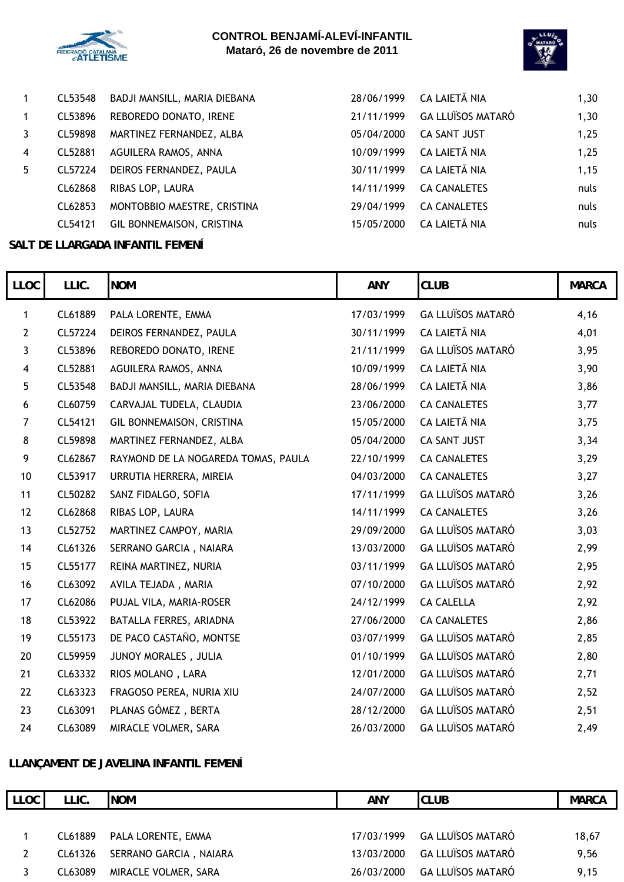



|    | CL53548 | BADJI MANSILL, MARIA DIEBANA | 28/06/1999 | CA LAIETÃ NIA       | 1,30  |
|----|---------|------------------------------|------------|---------------------|-------|
| 1  | CL53896 | REBOREDO DONATO, IRENE       | 21/11/1999 | GA LLUÏSOS MATARÓ   | 1,30  |
|    | CL59898 | MARTINEZ FERNANDEZ, ALBA     | 05/04/2000 | CA SANT JUST        | 1,25  |
| 4  | CL52881 | AGUILERA RAMOS, ANNA         | 10/09/1999 | CA LAIETÃ NIA       | 1,25  |
| 5. | CL57224 | DEIROS FERNANDEZ, PAULA      | 30/11/1999 | CA LAIETÃ NIA       | 1,15  |
|    | CL62868 | RIBAS LOP, LAURA             | 14/11/1999 | <b>CA CANALETES</b> | nuls  |
|    | CL62853 | MONTOBBIO MAESTRE, CRISTINA  | 29/04/1999 | <b>CA CANALETES</b> | nuls  |
|    | CL54121 | GIL BONNEMAISON, CRISTINA    | 15/05/2000 | CA LAIETÃ NIA       | nuls. |

#### **SALT DE LLARGADA INFANTIL FEMENÍ**

I

| <b>LLOC</b>    | LLIC.   | <b>NOM</b>                          | <b>ANY</b> | <b>CLUB</b>              | <b>MARCA</b> |
|----------------|---------|-------------------------------------|------------|--------------------------|--------------|
| 1              | CL61889 | PALA LORENTE, EMMA                  | 17/03/1999 | <b>GA LLUÏSOS MATARÓ</b> | 4,16         |
| $\mathbf{2}$   | CL57224 | DEIROS FERNANDEZ, PAULA             | 30/11/1999 | CA LAIETÃ NIA            | 4,01         |
| 3              | CL53896 | REBOREDO DONATO, IRENE              | 21/11/1999 | <b>GA LLUÏSOS MATARÓ</b> | 3,95         |
| 4              | CL52881 | AGUILERA RAMOS, ANNA                | 10/09/1999 | CA LAIETÃ NIA            | 3,90         |
| 5              | CL53548 | BADJI MANSILL, MARIA DIEBANA        | 28/06/1999 | CA LAIETÃ NIA            | 3,86         |
| 6              | CL60759 | CARVAJAL TUDELA, CLAUDIA            | 23/06/2000 | <b>CA CANALETES</b>      | 3,77         |
| $\overline{7}$ | CL54121 | GIL BONNEMAISON, CRISTINA           | 15/05/2000 | CA LAIETÃ NIA            | 3,75         |
| 8              | CL59898 | MARTINEZ FERNANDEZ, ALBA            | 05/04/2000 | CA SANT JUST             | 3,34         |
| 9              | CL62867 | RAYMOND DE LA NOGAREDA TOMAS, PAULA | 22/10/1999 | <b>CA CANALETES</b>      | 3,29         |
| 10             | CL53917 | URRUTIA HERRERA, MIREIA             | 04/03/2000 | <b>CA CANALETES</b>      | 3,27         |
| 11             | CL50282 | SANZ FIDALGO, SOFIA                 | 17/11/1999 | <b>GA LLUÏSOS MATARÓ</b> | 3,26         |
| 12             | CL62868 | RIBAS LOP, LAURA                    | 14/11/1999 | <b>CA CANALETES</b>      | 3,26         |
| 13             | CL52752 | MARTINEZ CAMPOY, MARIA              | 29/09/2000 | <b>GA LLUÏSOS MATARÓ</b> | 3,03         |
| 14             | CL61326 | SERRANO GARCIA, NAIARA              | 13/03/2000 | <b>GA LLUÏSOS MATARÓ</b> | 2,99         |
| 15             | CL55177 | REINA MARTINEZ, NURIA               | 03/11/1999 | <b>GA LLUÏSOS MATARÓ</b> | 2,95         |
| 16             | CL63092 | AVILA TEJADA, MARIA                 | 07/10/2000 | <b>GA LLUÏSOS MATARÓ</b> | 2,92         |
| 17             | CL62086 | PUJAL VILA, MARIA-ROSER             | 24/12/1999 | <b>CA CALELLA</b>        | 2,92         |
| 18             | CL53922 | BATALLA FERRES, ARIADNA             | 27/06/2000 | <b>CA CANALETES</b>      | 2,86         |
| 19             | CL55173 | DE PACO CASTAÑO, MONTSE             | 03/07/1999 | <b>GA LLUÏSOS MATARÓ</b> | 2,85         |
| 20             | CL59959 | JUNOY MORALES, JULIA                | 01/10/1999 | <b>GA LLUÏSOS MATARÓ</b> | 2,80         |
| 21             | CL63332 | RIOS MOLANO, LARA                   | 12/01/2000 | <b>GA LLUÏSOS MATARÓ</b> | 2,71         |
| 22             | CL63323 | FRAGOSO PEREA, NURIA XIU            | 24/07/2000 | <b>GA LLUÏSOS MATARÓ</b> | 2,52         |
| 23             | CL63091 | PLANAS GÓMEZ, BERTA                 | 28/12/2000 | <b>GA LLUÏSOS MATARÓ</b> | 2,51         |
| 24             | CL63089 | MIRACLE VOLMER, SARA                | 26/03/2000 | <b>GA LLUÏSOS MATARÓ</b> | 2,49         |

## **LLANÇAMENT DE JAVELINA INFANTIL FEMENÍ**

| LLOC | LLIC.   | <b>INOM</b>            | <b>ANY</b> | <b>CLUB</b>                  | <b>MARCA</b> |
|------|---------|------------------------|------------|------------------------------|--------------|
|      |         |                        |            |                              |              |
|      | CL61889 | PALA LORENTE, EMMA     |            | 17/03/1999 GA LLUÏSOS MATARÓ | 18,67        |
|      | CL61326 | SERRANO GARCIA, NAIARA | 13/03/2000 | <b>GA LLUÏSOS MATARÓ</b>     | 9,56         |
|      | CL63089 | MIRACLE VOLMER, SARA   | 26/03/2000 | <b>GA LLUÏSOS MATARÓ</b>     | 9,15         |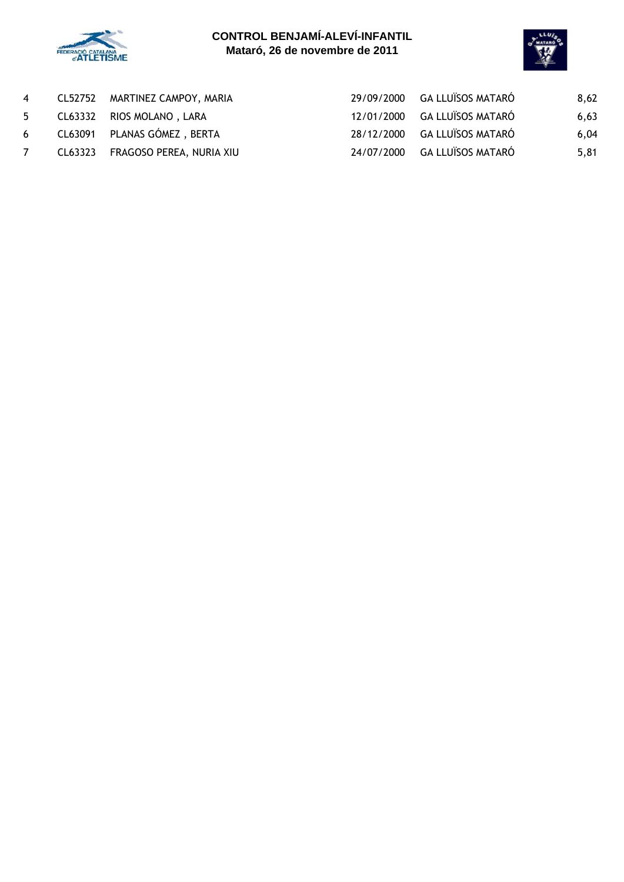



| 4 | CL52752 MARTINEZ CAMPOY, MARIA   | 29/09/2000 GA LLUÏSOS MATARÓ | 8,62 |
|---|----------------------------------|------------------------------|------|
| 5 | CL63332 RIOS MOLANO, LARA        | 12/01/2000 GA LLUÏSOS MATARÓ | 6,63 |
| 6 | CL63091 PLANAS GÓMEZ, BERTA      | 28/12/2000 GA LLUÏSOS MATARÓ | 6,04 |
|   | CL63323 FRAGOSO PEREA, NURIA XIU | 24/07/2000 GA LLUÏSOS MATARÓ | 5,81 |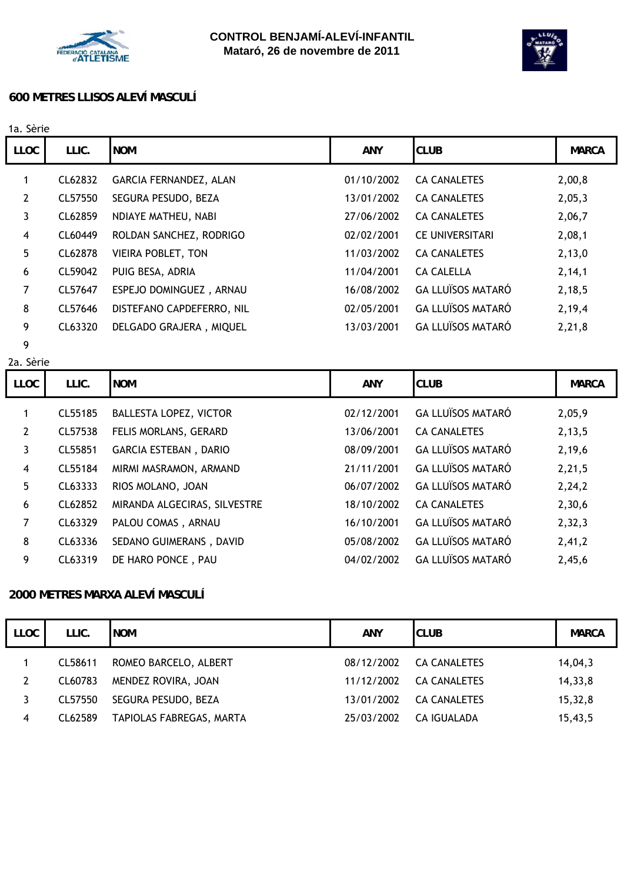



#### **600 METRES LLISOS ALEVÍ MASCULÍ**

| 1a. Sèrie      |         |                           |            |                          |              |
|----------------|---------|---------------------------|------------|--------------------------|--------------|
| <b>LLOC</b>    | LLIC.   | <b>NOM</b>                | <b>ANY</b> | <b>CLUB</b>              | <b>MARCA</b> |
| 1              | CL62832 | GARCIA FERNANDEZ, ALAN    | 01/10/2002 | <b>CA CANALETES</b>      | 2,00,8       |
| $\overline{2}$ | CL57550 | SEGURA PESUDO, BEZA       | 13/01/2002 | <b>CA CANALETES</b>      | 2,05,3       |
| 3              | CL62859 | NDIAYE MATHEU, NABI       | 27/06/2002 | <b>CA CANALETES</b>      | 2,06,7       |
| 4              | CL60449 | ROLDAN SANCHEZ, RODRIGO   | 02/02/2001 | <b>CE UNIVERSITARI</b>   | 2,08,1       |
| 5              | CL62878 | <b>VIEIRA POBLET, TON</b> | 11/03/2002 | <b>CA CANALETES</b>      | 2,13,0       |
| 6              | CL59042 | PUIG BESA, ADRIA          | 11/04/2001 | <b>CA CALELLA</b>        | 2, 14, 1     |
| 7              | CL57647 | ESPEJO DOMINGUEZ, ARNAU   | 16/08/2002 | <b>GA LLUÏSOS MATARÓ</b> | 2,18,5       |
| 8              | CL57646 | DISTEFANO CAPDEFERRO, NIL | 02/05/2001 | <b>GA LLUÏSOS MATARÓ</b> | 2,19,4       |
| 9              | CL63320 | DELGADO GRAJERA, MIQUEL   | 13/03/2001 | <b>GA LLUÏSOS MATARÓ</b> | 2,21,8       |
| 9              |         |                           |            |                          |              |

2a. Sèrie

| <b>LLOC</b> | LLIC.   | <b>NOM</b>                   | <b>ANY</b> | <b>CLUB</b>              | <b>MARCA</b> |
|-------------|---------|------------------------------|------------|--------------------------|--------------|
|             | CL55185 | BALLESTA LOPEZ, VICTOR       | 02/12/2001 | <b>GA LLUÏSOS MATARÓ</b> | 2,05,9       |
| 2           | CL57538 | FELIS MORLANS, GERARD        | 13/06/2001 | <b>CA CANALETES</b>      | 2, 13, 5     |
| 3           | CL55851 | <b>GARCIA ESTEBAN, DARIO</b> | 08/09/2001 | <b>GA LLUÏSOS MATARÓ</b> | 2,19,6       |
| 4           | CL55184 | MIRMI MASRAMON, ARMAND       | 21/11/2001 | <b>GA LLUÏSOS MATARÓ</b> | 2,21,5       |
| 5           | CL63333 | RIOS MOLANO, JOAN            | 06/07/2002 | <b>GA LLUÏSOS MATARÓ</b> | 2,24,2       |
| 6           | CL62852 | MIRANDA ALGECIRAS, SILVESTRE | 18/10/2002 | <b>CA CANALETES</b>      | 2,30,6       |
| 7           | CL63329 | PALOU COMAS, ARNAU           | 16/10/2001 | <b>GA LLUÏSOS MATARÓ</b> | 2, 32, 3     |
| 8           | CL63336 | SEDANO GUIMERANS, DAVID      | 05/08/2002 | <b>GA LLUÏSOS MATARÓ</b> | 2,41,2       |
| 9           | CL63319 | DE HARO PONCE, PAU           | 04/02/2002 | <b>GA LLUÏSOS MATARÓ</b> | 2,45,6       |

### **2000 METRES MARXA ALEVÍ MASCULÍ**

| <b>LLOC</b> | LLIC.   | <b>NOM</b>               | <b>ANY</b> | <b>CLUB</b>         | <b>MARCA</b> |
|-------------|---------|--------------------------|------------|---------------------|--------------|
|             | CL58611 | ROMEO BARCELO, ALBERT    | 08/12/2002 | <b>CA CANALETES</b> | 14,04,3      |
| 2           | CL60783 | MENDEZ ROVIRA, JOAN      | 11/12/2002 | <b>CA CANALETES</b> | 14,33,8      |
| 3           | CL57550 | SEGURA PESUDO, BEZA      | 13/01/2002 | <b>CA CANALETES</b> | 15,32,8      |
| 4           | CL62589 | TAPIOLAS FABREGAS, MARTA | 25/03/2002 | CA IGUALADA         | 15,43,5      |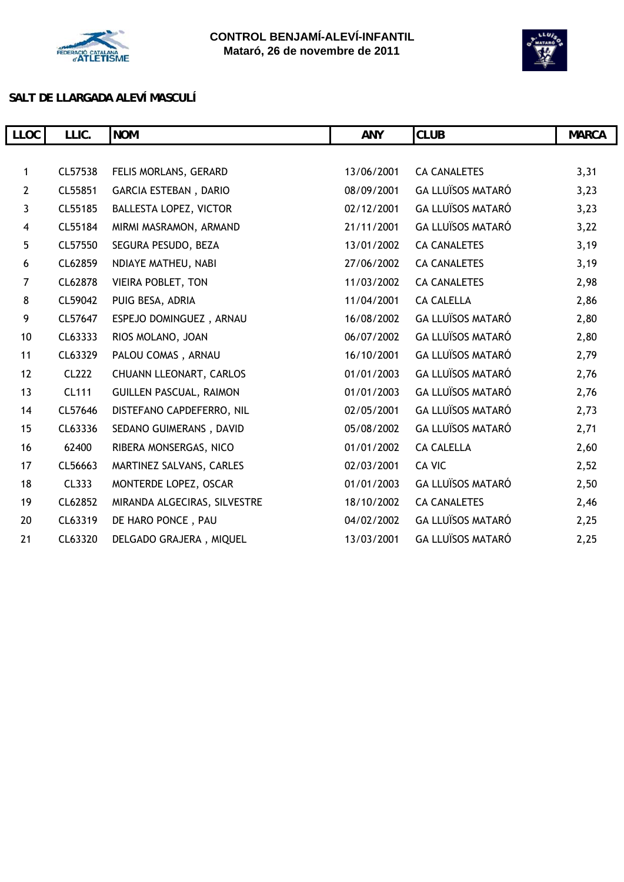



## **SALT DE LLARGADA ALEVÍ MASCULÍ**

| LLOC                    | LLIC.        | <b>NOM</b>                     | <b>ANY</b> | <b>CLUB</b>              | <b>MARCA</b> |
|-------------------------|--------------|--------------------------------|------------|--------------------------|--------------|
|                         |              |                                |            |                          |              |
| $\mathbf{1}$            | CL57538      | FELIS MORLANS, GERARD          | 13/06/2001 | <b>CA CANALETES</b>      | 3,31         |
| $\overline{2}$          | CL55851      | <b>GARCIA ESTEBAN, DARIO</b>   | 08/09/2001 | <b>GA LLUÏSOS MATARÓ</b> | 3,23         |
| $\mathbf{3}$            | CL55185      | <b>BALLESTA LOPEZ, VICTOR</b>  | 02/12/2001 | <b>GA LLUÏSOS MATARÓ</b> | 3,23         |
| $\overline{\mathbf{4}}$ | CL55184      | MIRMI MASRAMON, ARMAND         | 21/11/2001 | <b>GA LLUÏSOS MATARÓ</b> | 3,22         |
| 5                       | CL57550      | SEGURA PESUDO, BEZA            | 13/01/2002 | <b>CA CANALETES</b>      | 3,19         |
| 6                       | CL62859      | NDIAYE MATHEU, NABI            | 27/06/2002 | <b>CA CANALETES</b>      | 3,19         |
| $\overline{7}$          | CL62878      | VIEIRA POBLET, TON             | 11/03/2002 | <b>CA CANALETES</b>      | 2,98         |
| 8                       | CL59042      | PUIG BESA, ADRIA               | 11/04/2001 | <b>CA CALELLA</b>        | 2,86         |
| 9                       | CL57647      | ESPEJO DOMINGUEZ, ARNAU        | 16/08/2002 | <b>GA LLUÏSOS MATARÓ</b> | 2,80         |
| 10                      | CL63333      | RIOS MOLANO, JOAN              | 06/07/2002 | <b>GA LLUÏSOS MATARÓ</b> | 2,80         |
| 11                      | CL63329      | PALOU COMAS, ARNAU             | 16/10/2001 | <b>GA LLUÏSOS MATARÓ</b> | 2,79         |
| 12                      | <b>CL222</b> | CHUANN LLEONART, CARLOS        | 01/01/2003 | <b>GA LLUÏSOS MATARÓ</b> | 2,76         |
| 13                      | <b>CL111</b> | <b>GUILLEN PASCUAL, RAIMON</b> | 01/01/2003 | <b>GA LLUÏSOS MATARÓ</b> | 2,76         |
| 14                      | CL57646      | DISTEFANO CAPDEFERRO, NIL      | 02/05/2001 | <b>GA LLUÏSOS MATARÓ</b> | 2,73         |
| 15                      | CL63336      | SEDANO GUIMERANS, DAVID        | 05/08/2002 | <b>GA LLUÏSOS MATARÓ</b> | 2,71         |
| 16                      | 62400        | RIBERA MONSERGAS, NICO         | 01/01/2002 | <b>CA CALELLA</b>        | 2,60         |
| 17                      | CL56663      | MARTINEZ SALVANS, CARLES       | 02/03/2001 | CA VIC                   | 2,52         |
| 18                      | CL333        | MONTERDE LOPEZ, OSCAR          | 01/01/2003 | <b>GA LLUÏSOS MATARÓ</b> | 2,50         |
| 19                      | CL62852      | MIRANDA ALGECIRAS, SILVESTRE   | 18/10/2002 | <b>CA CANALETES</b>      | 2,46         |
| 20                      | CL63319      | DE HARO PONCE, PAU             | 04/02/2002 | <b>GA LLUÏSOS MATARÓ</b> | 2,25         |
| 21                      | CL63320      | DELGADO GRAJERA, MIQUEL        | 13/03/2001 | <b>GA LLUÏSOS MATARÓ</b> | 2,25         |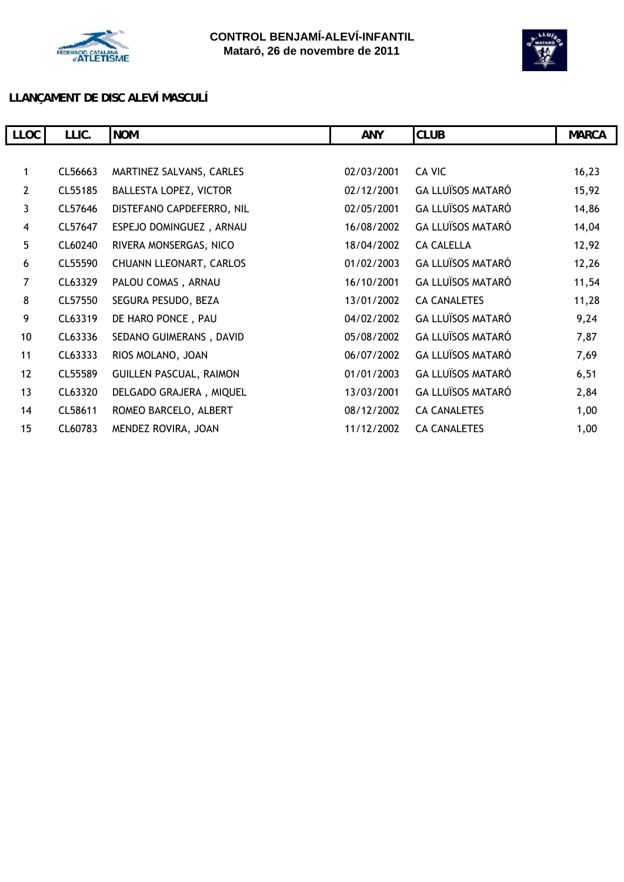



# **LLANÇAMENT DE DISC ALEVÍ MASCULÍ**

| <b>LLOC</b>    | LLIC.   | <b>NOM</b>                     | <b>ANY</b> | <b>CLUB</b>              | <b>MARCA</b> |
|----------------|---------|--------------------------------|------------|--------------------------|--------------|
|                |         |                                |            |                          |              |
| 1              | CL56663 | MARTINEZ SALVANS, CARLES       | 02/03/2001 | CA VIC                   | 16,23        |
| $\overline{2}$ | CL55185 | <b>BALLESTA LOPEZ, VICTOR</b>  | 02/12/2001 | <b>GA LLUÏSOS MATARÓ</b> | 15,92        |
| $\mathbf{3}$   | CL57646 | DISTEFANO CAPDEFERRO, NIL      | 02/05/2001 | <b>GA LLUÏSOS MATARÓ</b> | 14,86        |
| 4              | CL57647 | ESPEJO DOMINGUEZ, ARNAU        | 16/08/2002 | <b>GA LLUÏSOS MATARÓ</b> | 14,04        |
| 5 <sub>5</sub> | CL60240 | RIVERA MONSERGAS, NICO         | 18/04/2002 | <b>CA CALELLA</b>        | 12,92        |
| 6              | CL55590 | CHUANN LLEONART, CARLOS        | 01/02/2003 | <b>GA LLUÏSOS MATARÓ</b> | 12,26        |
| 7              | CL63329 | PALOU COMAS, ARNAU             | 16/10/2001 | <b>GA LLUÏSOS MATARÓ</b> | 11,54        |
| 8              | CL57550 | SEGURA PESUDO, BEZA            | 13/01/2002 | <b>CA CANALETES</b>      | 11,28        |
| 9              | CL63319 | DE HARO PONCE, PAU             | 04/02/2002 | <b>GA LLUÏSOS MATARÓ</b> | 9,24         |
| 10             | CL63336 | SEDANO GUIMERANS, DAVID        | 05/08/2002 | <b>GA LLUÏSOS MATARÓ</b> | 7,87         |
| 11             | CL63333 | RIOS MOLANO, JOAN              | 06/07/2002 | <b>GA LLUÏSOS MATARÓ</b> | 7,69         |
| 12             | CL55589 | <b>GUILLEN PASCUAL, RAIMON</b> | 01/01/2003 | <b>GA LLUÏSOS MATARÓ</b> | 6,51         |
| 13             | CL63320 | DELGADO GRAJERA, MIQUEL        | 13/03/2001 | <b>GA LLUÏSOS MATARÓ</b> | 2,84         |
| 14             | CL58611 | ROMEO BARCELO, ALBERT          | 08/12/2002 | <b>CA CANALETES</b>      | 1,00         |
| 15             | CL60783 | MENDEZ ROVIRA, JOAN            | 11/12/2002 | <b>CA CANALETES</b>      | 1,00         |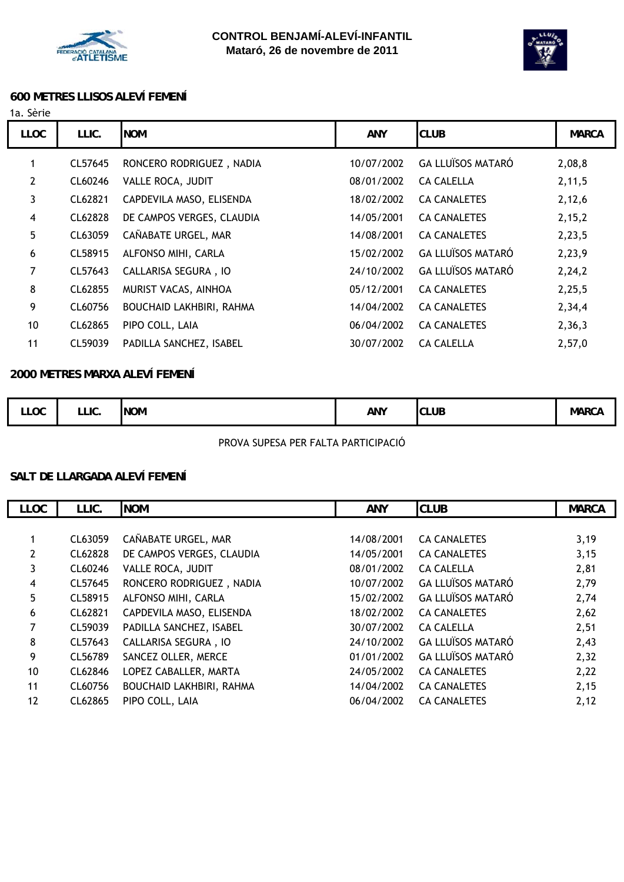



#### **600 METRES LLISOS ALEVÍ FEMENÍ**

#### 1a. Sèrie

| <b>LLOC</b>    | LLIC.   | <b>NOM</b>                  | <b>ANY</b> | <b>CLUB</b>              | <b>MARCA</b> |
|----------------|---------|-----------------------------|------------|--------------------------|--------------|
|                | CL57645 | RONCERO RODRIGUEZ, NADIA    | 10/07/2002 | <b>GA LLUÏSOS MATARÓ</b> | 2,08,8       |
| $\mathbf{2}$   | CL60246 | VALLE ROCA, JUDIT           | 08/01/2002 | <b>CA CALELLA</b>        | 2, 11, 5     |
| 3              | CL62821 | CAPDEVILA MASO, ELISENDA    | 18/02/2002 | <b>CA CANALETES</b>      | 2,12,6       |
| 4              | CL62828 | DE CAMPOS VERGES, CLAUDIA   | 14/05/2001 | <b>CA CANALETES</b>      | 2,15,2       |
| 5              | CL63059 | CAÑABATE URGEL, MAR         | 14/08/2001 | <b>CA CANALETES</b>      | 2,23,5       |
| 6              | CL58915 | ALFONSO MIHI, CARLA         | 15/02/2002 | <b>GA LLUÏSOS MATARÓ</b> | 2,23,9       |
| $\overline{7}$ | CL57643 | <b>CALLARISA SEGURA, IO</b> | 24/10/2002 | <b>GA LLUÏSOS MATARÓ</b> | 2,24,2       |
| 8              | CL62855 | MURIST VACAS, AINHOA        | 05/12/2001 | <b>CA CANALETES</b>      | 2,25,5       |
| 9              | CL60756 | BOUCHAID LAKHBIRI, RAHMA    | 14/04/2002 | <b>CA CANALETES</b>      | 2,34,4       |
| 10             | CL62865 | PIPO COLL, LAIA             | 06/04/2002 | <b>CA CANALETES</b>      | 2,36,3       |
| 11             | CL59039 | PADILLA SANCHEZ, ISABEL     | 30/07/2002 | CA CALELLA               | 2,57,0       |
|                |         |                             |            |                          |              |

#### **2000 METRES MARXA ALEVÍ FEMENÍ**

| <b>LLOC</b> | LLIC. | <b>NOM</b> | ANY | <b>CLUB</b> | Mar( |
|-------------|-------|------------|-----|-------------|------|
|-------------|-------|------------|-----|-------------|------|

PROVA SUPESA PER FALTA PARTICIPACIÓ

#### **SALT DE LLARGADA ALEVÍ FEMENÍ**

| <b>LLOC</b>    | LLIC.   | <b>NOM</b>                      | <b>ANY</b> | <b>CLUB</b>              | <b>MARCA</b> |
|----------------|---------|---------------------------------|------------|--------------------------|--------------|
|                |         |                                 |            |                          |              |
| 1              | CL63059 | CAÑABATE URGEL, MAR             | 14/08/2001 | <b>CA CANALETES</b>      | 3,19         |
| $\overline{2}$ | CL62828 | DE CAMPOS VERGES, CLAUDIA       | 14/05/2001 | <b>CA CANALETES</b>      | 3,15         |
| 3              | CL60246 | VALLE ROCA, JUDIT               | 08/01/2002 | <b>CA CALELLA</b>        | 2,81         |
| 4              | CL57645 | RONCERO RODRIGUEZ, NADIA        | 10/07/2002 | <b>GA LLUÏSOS MATARÓ</b> | 2,79         |
| 5              | CL58915 | ALFONSO MIHI, CARLA             | 15/02/2002 | <b>GA LLUÏSOS MATARÓ</b> | 2,74         |
| 6              | CL62821 | CAPDEVILA MASO, ELISENDA        | 18/02/2002 | <b>CA CANALETES</b>      | 2,62         |
| 7              | CL59039 | PADILLA SANCHEZ, ISABEL         | 30/07/2002 | <b>CA CALELLA</b>        | 2,51         |
| 8              | CL57643 | <b>CALLARISA SEGURA, IO</b>     | 24/10/2002 | <b>GA LLUÏSOS MATARÓ</b> | 2,43         |
| 9              | CL56789 | SANCEZ OLLER, MERCE             | 01/01/2002 | <b>GA LLUÏSOS MATARÓ</b> | 2,32         |
| 10             | CL62846 | LOPEZ CABALLER, MARTA           | 24/05/2002 | <b>CA CANALETES</b>      | 2,22         |
| 11             | CL60756 | <b>BOUCHAID LAKHBIRI, RAHMA</b> | 14/04/2002 | <b>CA CANALETES</b>      | 2,15         |
| 12             | CL62865 | PIPO COLL, LAIA                 | 06/04/2002 | <b>CA CANALETES</b>      | 2,12         |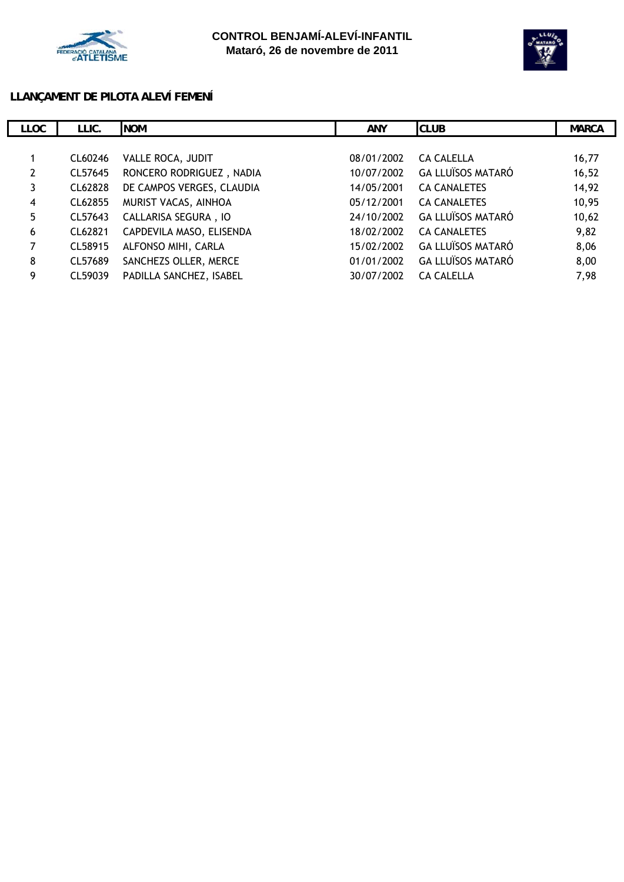



#### **LLANÇAMENT DE PILOTA ALEVÍ FEMENÍ**

| <b>LLOC</b>           | LLIC.   | <b>NOM</b>                | <b>ANY</b> | <b>CLUB</b>              | <b>MARCA</b> |
|-----------------------|---------|---------------------------|------------|--------------------------|--------------|
|                       |         |                           |            |                          |              |
|                       | CL60246 | VALLE ROCA, JUDIT         | 08/01/2002 | <b>CA CALELLA</b>        | 16,77        |
| $\mathbf{2}^{\prime}$ | CL57645 | RONCERO RODRIGUEZ, NADIA  | 10/07/2002 | <b>GA LLUÏSOS MATARÓ</b> | 16, 52       |
| 3                     | CL62828 | DE CAMPOS VERGES, CLAUDIA | 14/05/2001 | <b>CA CANALETES</b>      | 14,92        |
| 4                     | CL62855 | MURIST VACAS, AINHOA      | 05/12/2001 | <b>CA CANALETES</b>      | 10,95        |
| 5 <sup>5</sup>        | CL57643 | CALLARISA SEGURA, IO      | 24/10/2002 | <b>GA LLUÏSOS MATARÓ</b> | 10,62        |
| 6                     | CL62821 | CAPDEVILA MASO, ELISENDA  | 18/02/2002 | <b>CA CANALETES</b>      | 9,82         |
| $\overline{7}$        | CL58915 | ALFONSO MIHI, CARLA       | 15/02/2002 | <b>GA LLUÏSOS MATARÓ</b> | 8,06         |
| 8                     | CL57689 | SANCHEZS OLLER, MERCE     | 01/01/2002 | <b>GA LLUÏSOS MATARÓ</b> | 8,00         |
| 9                     | CL59039 | PADILLA SANCHEZ, ISABEL   | 30/07/2002 | <b>CA CALELLA</b>        | 7,98         |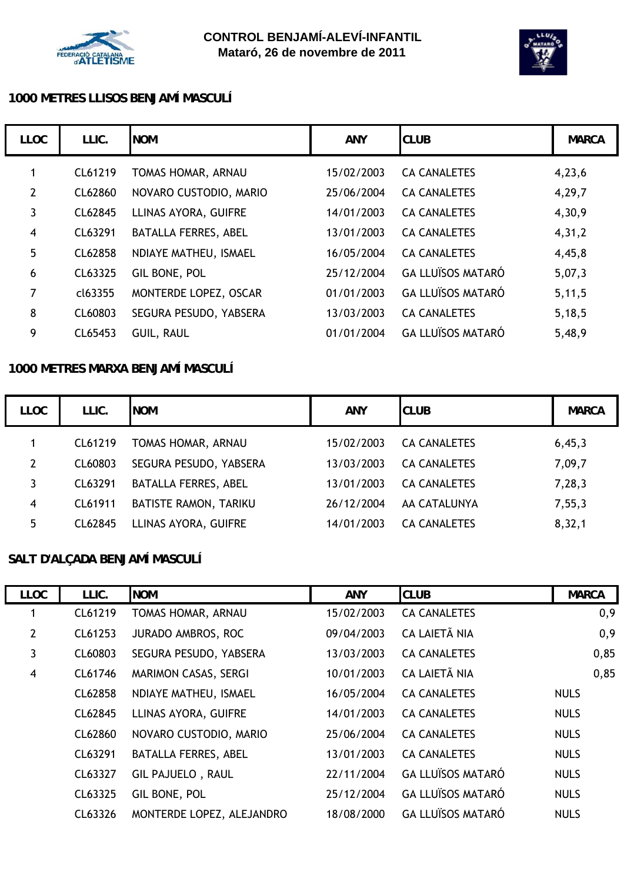



## **1000 METRES LLISOS BENJAMÍ MASCULÍ**

| <b>LLOC</b>    | LLIC.   | <b>NOM</b>                  | <b>ANY</b> | <b>CLUB</b>              | <b>MARCA</b> |
|----------------|---------|-----------------------------|------------|--------------------------|--------------|
| 1              | CL61219 | TOMAS HOMAR, ARNAU          | 15/02/2003 | <b>CA CANALETES</b>      | 4,23,6       |
| $\overline{2}$ | CL62860 | NOVARO CUSTODIO, MARIO      | 25/06/2004 | <b>CA CANALETES</b>      | 4,29,7       |
| 3              | CL62845 | LLINAS AYORA, GUIFRE        | 14/01/2003 | <b>CA CANALETES</b>      | 4,30,9       |
| $\overline{4}$ | CL63291 | <b>BATALLA FERRES, ABEL</b> | 13/01/2003 | <b>CA CANALETES</b>      | 4,31,2       |
| 5              | CL62858 | NDIAYE MATHEU, ISMAEL       | 16/05/2004 | <b>CA CANALETES</b>      | 4,45,8       |
| 6              | CL63325 | GIL BONE, POL               | 25/12/2004 | <b>GA LLUÏSOS MATARÓ</b> | 5,07,3       |
| 7              | cl63355 | MONTERDE LOPEZ, OSCAR       | 01/01/2003 | <b>GA LLUÏSOS MATARÓ</b> | 5,11,5       |
| 8              | CL60803 | SEGURA PESUDO, YABSERA      | 13/03/2003 | <b>CA CANALETES</b>      | 5,18,5       |
| 9              | CL65453 | GUIL, RAUL                  | 01/01/2004 | <b>GA LLUÏSOS MATARÓ</b> | 5,48,9       |

#### **1000 METRES MARXA BENJAMÍ MASCULÍ**

| <b>LLOC</b>   | LLIC.   | <b>NOM</b>                   | <b>ANY</b> | <b>CLUB</b>         | <b>MARCA</b> |
|---------------|---------|------------------------------|------------|---------------------|--------------|
|               | CL61219 | TOMAS HOMAR, ARNAU           | 15/02/2003 | <b>CA CANALETES</b> | 6,45,3       |
| $\mathcal{P}$ | CL60803 | SEGURA PESUDO, YABSERA       | 13/03/2003 | <b>CA CANALETES</b> | 7,09,7       |
| 3             | CL63291 | <b>BATALLA FERRES, ABEL</b>  | 13/01/2003 | <b>CA CANALETES</b> | 7,28,3       |
| 4             | CL61911 | <b>BATISTE RAMON, TARIKU</b> | 26/12/2004 | AA CATALUNYA        | 7, 55, 3     |
| 5             | CL62845 | LLINAS AYORA, GUIFRE         | 14/01/2003 | <b>CA CANALETES</b> | 8, 32, 1     |

# **SALT D'ALÇADA BENJAMÍ MASCULÍ**

| <b>LLOC</b>    | LLIC.   | <b>NOM</b>                  | <b>ANY</b> | <b>CLUB</b>              | <b>MARCA</b> |
|----------------|---------|-----------------------------|------------|--------------------------|--------------|
| 1              | CL61219 | TOMAS HOMAR, ARNAU          | 15/02/2003 | <b>CA CANALETES</b>      | 0,9          |
| $\overline{2}$ | CL61253 | <b>JURADO AMBROS, ROC</b>   | 09/04/2003 | CA LAIETÃ NIA            | 0,9          |
| 3              | CL60803 | SEGURA PESUDO, YABSERA      | 13/03/2003 | <b>CA CANALETES</b>      | 0,85         |
| $\overline{4}$ | CL61746 | <b>MARIMON CASAS, SERGI</b> | 10/01/2003 | CA LAIETÃ NIA            | 0,85         |
|                | CL62858 | NDIAYE MATHEU, ISMAEL       | 16/05/2004 | <b>CA CANALETES</b>      | <b>NULS</b>  |
|                | CL62845 | LLINAS AYORA, GUIFRE        | 14/01/2003 | <b>CA CANALETES</b>      | <b>NULS</b>  |
|                | CL62860 | NOVARO CUSTODIO, MARIO      | 25/06/2004 | <b>CA CANALETES</b>      | <b>NULS</b>  |
|                | CL63291 | <b>BATALLA FERRES, ABEL</b> | 13/01/2003 | <b>CA CANALETES</b>      | <b>NULS</b>  |
|                | CL63327 | <b>GIL PAJUELO, RAUL</b>    | 22/11/2004 | <b>GA LLUÏSOS MATARÓ</b> | <b>NULS</b>  |
|                | CL63325 | GIL BONE, POL               | 25/12/2004 | <b>GA LLUÏSOS MATARÓ</b> | <b>NULS</b>  |
|                | CL63326 | MONTERDE LOPEZ, ALEJANDRO   | 18/08/2000 | <b>GA LLUÏSOS MATARÓ</b> | <b>NULS</b>  |